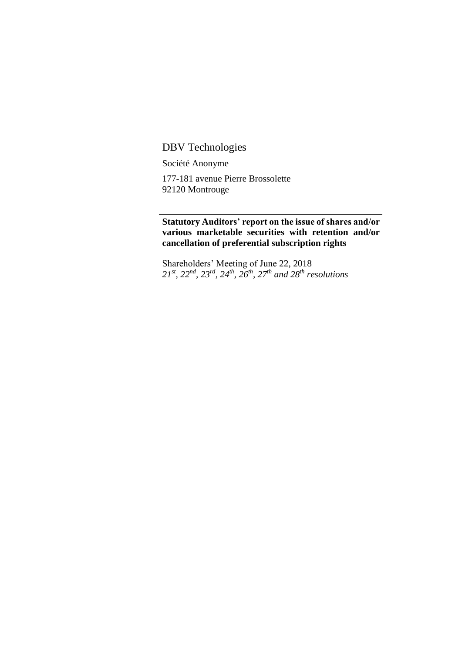## DBV Technologies

Société Anonyme

177-181 avenue Pierre Brossolette 92120 Montrouge

## **Statutory Auditors' report on the issue of shares and/or various marketable securities with retention and/or cancellation of preferential subscription rights**

Shareholders' Meeting of June 22, 2018 *21st, 22nd, 23rd, 24th, 26th, 27th and 28th resolutions*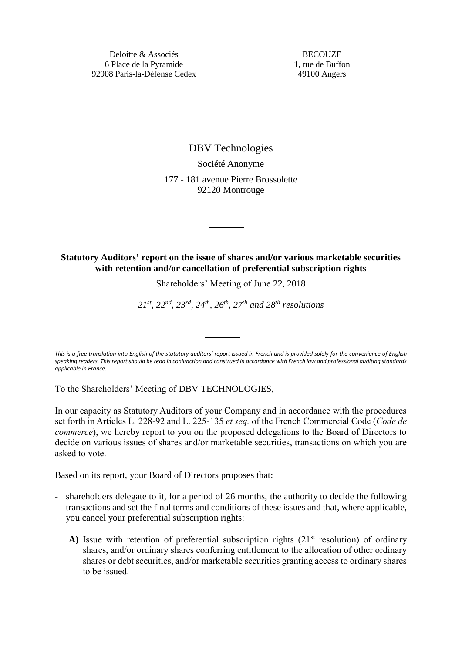**BECOUZE** 1, rue de Buffon 49100 Angers

DBV Technologies Société Anonyme 177 - 181 avenue Pierre Brossolette 92120 Montrouge

## **Statutory Auditors' report on the issue of shares and/or various marketable securities with retention and/or cancellation of preferential subscription rights**

Shareholders' Meeting of June 22, 2018

*21st, 22nd, 23rd, 24th, 26th, 27th and 28th resolutions*

*This is a free translation into English of the statutory auditors' report issued in French and is provided solely for the convenience of English speaking readers. This report should be read in conjunction and construed in accordance with French law and professional auditing standards applicable in France.*

To the Shareholders' Meeting of DBV TECHNOLOGIES,

In our capacity as Statutory Auditors of your Company and in accordance with the procedures set forth in Articles L. 228-92 and L. 225-135 *et seq.* of the French Commercial Code (*Code de commerce*), we hereby report to you on the proposed delegations to the Board of Directors to decide on various issues of shares and/or marketable securities, transactions on which you are asked to vote.

Based on its report, your Board of Directors proposes that:

- shareholders delegate to it, for a period of 26 months, the authority to decide the following transactions and set the final terms and conditions of these issues and that, where applicable, you cancel your preferential subscription rights:
	- A) Issue with retention of preferential subscription rights  $(21<sup>st</sup>$  resolution) of ordinary shares, and/or ordinary shares conferring entitlement to the allocation of other ordinary shares or debt securities, and/or marketable securities granting access to ordinary shares to be issued.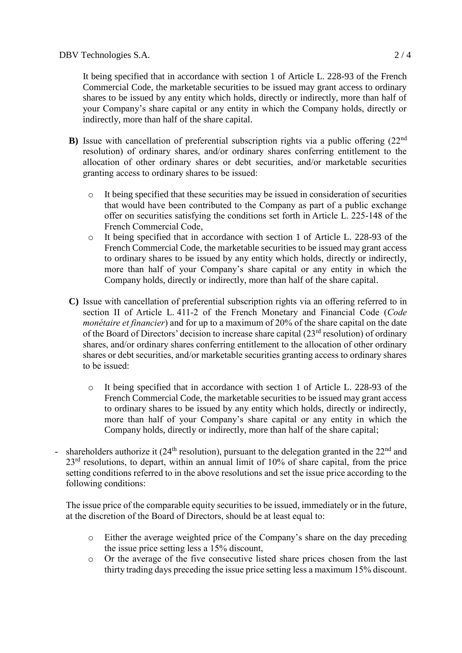It being specified that in accordance with section 1 of Article L. 228-93 of the French Commercial Code, the marketable securities to be issued may grant access to ordinary shares to be issued by any entity which holds, directly or indirectly, more than half of your Company's share capital or any entity in which the Company holds, directly or indirectly, more than half of the share capital.

- **B**) Issue with cancellation of preferential subscription rights via a public offering (22<sup>nd</sup>) resolution) of ordinary shares, and/or ordinary shares conferring entitlement to the allocation of other ordinary shares or debt securities, and/or marketable securities granting access to ordinary shares to be issued:
	- o It being specified that these securities may be issued in consideration of securities that would have been contributed to the Company as part of a public exchange offer on securities satisfying the conditions set forth in Article L. 225-148 of the French Commercial Code,
	- o It being specified that in accordance with section 1 of Article L. 228-93 of the French Commercial Code, the marketable securities to be issued may grant access to ordinary shares to be issued by any entity which holds, directly or indirectly, more than half of your Company's share capital or any entity in which the Company holds, directly or indirectly, more than half of the share capital.
- **C)** Issue with cancellation of preferential subscription rights via an offering referred to in section II of Article L. 411-2 of the French Monetary and Financial Code (*Code monétaire et financier*) and for up to a maximum of 20% of the share capital on the date of the Board of Directors' decision to increase share capital  $(23<sup>rd</sup>$  resolution) of ordinary shares, and/or ordinary shares conferring entitlement to the allocation of other ordinary shares or debt securities, and/or marketable securities granting access to ordinary shares to be issued:
	- o It being specified that in accordance with section 1 of Article L. 228-93 of the French Commercial Code, the marketable securities to be issued may grant access to ordinary shares to be issued by any entity which holds, directly or indirectly, more than half of your Company's share capital or any entity in which the Company holds, directly or indirectly, more than half of the share capital;
- shareholders authorize it ( $24<sup>th</sup>$  resolution), pursuant to the delegation granted in the  $22<sup>nd</sup>$  and  $23<sup>rd</sup>$  resolutions, to depart, within an annual limit of 10% of share capital, from the price setting conditions referred to in the above resolutions and set the issue price according to the following conditions:

The issue price of the comparable equity securities to be issued, immediately or in the future, at the discretion of the Board of Directors, should be at least equal to:

- o Either the average weighted price of the Company's share on the day preceding the issue price setting less a 15% discount,
- o Or the average of the five consecutive listed share prices chosen from the last thirty trading days preceding the issue price setting less a maximum 15% discount.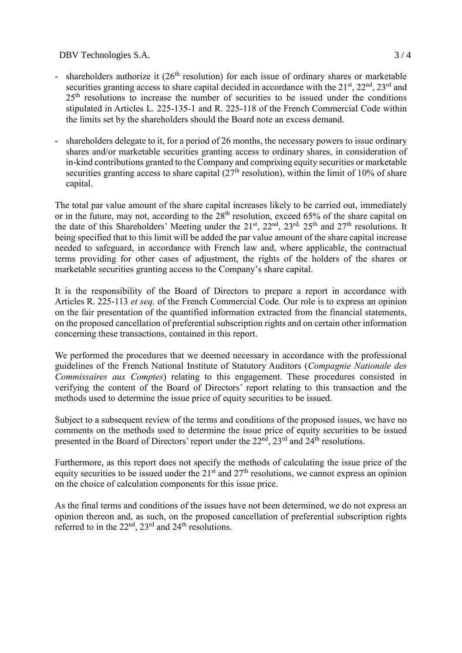DBV Technologies S.A. 3/4

- shareholders authorize it  $(26<sup>th</sup>$  resolution) for each issue of ordinary shares or marketable securities granting access to share capital decided in accordance with the  $21<sup>st</sup>$ ,  $22<sup>nd</sup>$ ,  $23<sup>rd</sup>$  and 25<sup>th</sup> resolutions to increase the number of securities to be issued under the conditions stipulated in Articles L. 225-135-1 and R. 225-118 of the French Commercial Code within the limits set by the shareholders should the Board note an excess demand.
- shareholders delegate to it, for a period of 26 months, the necessary powers to issue ordinary shares and/or marketable securities granting access to ordinary shares, in consideration of in-kind contributions granted to the Company and comprising equity securities or marketable securities granting access to share capital  $(27<sup>th</sup>$  resolution), within the limit of 10% of share capital.

The total par value amount of the share capital increases likely to be carried out, immediately or in the future, may not, according to the 28<sup>th</sup> resolution, exceed 65% of the share capital on the date of this Shareholders' Meeting under the  $21<sup>st</sup>$ ,  $22<sup>nd</sup>$ ,  $23<sup>rd</sup>$ ,  $25<sup>th</sup>$  and  $27<sup>th</sup>$  resolutions. It being specified that to this limit will be added the par value amount of the share capital increase needed to safeguard, in accordance with French law and, where applicable, the contractual terms providing for other cases of adjustment, the rights of the holders of the shares or marketable securities granting access to the Company's share capital.

It is the responsibility of the Board of Directors to prepare a report in accordance with Articles R. 225-113 *et seq.* of the French Commercial Code. Our role is to express an opinion on the fair presentation of the quantified information extracted from the financial statements, on the proposed cancellation of preferential subscription rights and on certain other information concerning these transactions, contained in this report.

We performed the procedures that we deemed necessary in accordance with the professional guidelines of the French National Institute of Statutory Auditors (*Compagnie Nationale des Commissaires aux Comptes*) relating to this engagement. These procedures consisted in verifying the content of the Board of Directors' report relating to this transaction and the methods used to determine the issue price of equity securities to be issued.

Subject to a subsequent review of the terms and conditions of the proposed issues, we have no comments on the methods used to determine the issue price of equity securities to be issued presented in the Board of Directors' report under the 22<sup>nd</sup>, 23<sup>rd</sup> and 24<sup>th</sup> resolutions.

Furthermore, as this report does not specify the methods of calculating the issue price of the equity securities to be issued under the  $21<sup>st</sup>$  and  $27<sup>th</sup>$  resolutions, we cannot express an opinion on the choice of calculation components for this issue price.

As the final terms and conditions of the issues have not been determined, we do not express an opinion thereon and, as such, on the proposed cancellation of preferential subscription rights referred to in the  $22<sup>nd</sup>$ ,  $23<sup>rd</sup>$  and  $24<sup>th</sup>$  resolutions.